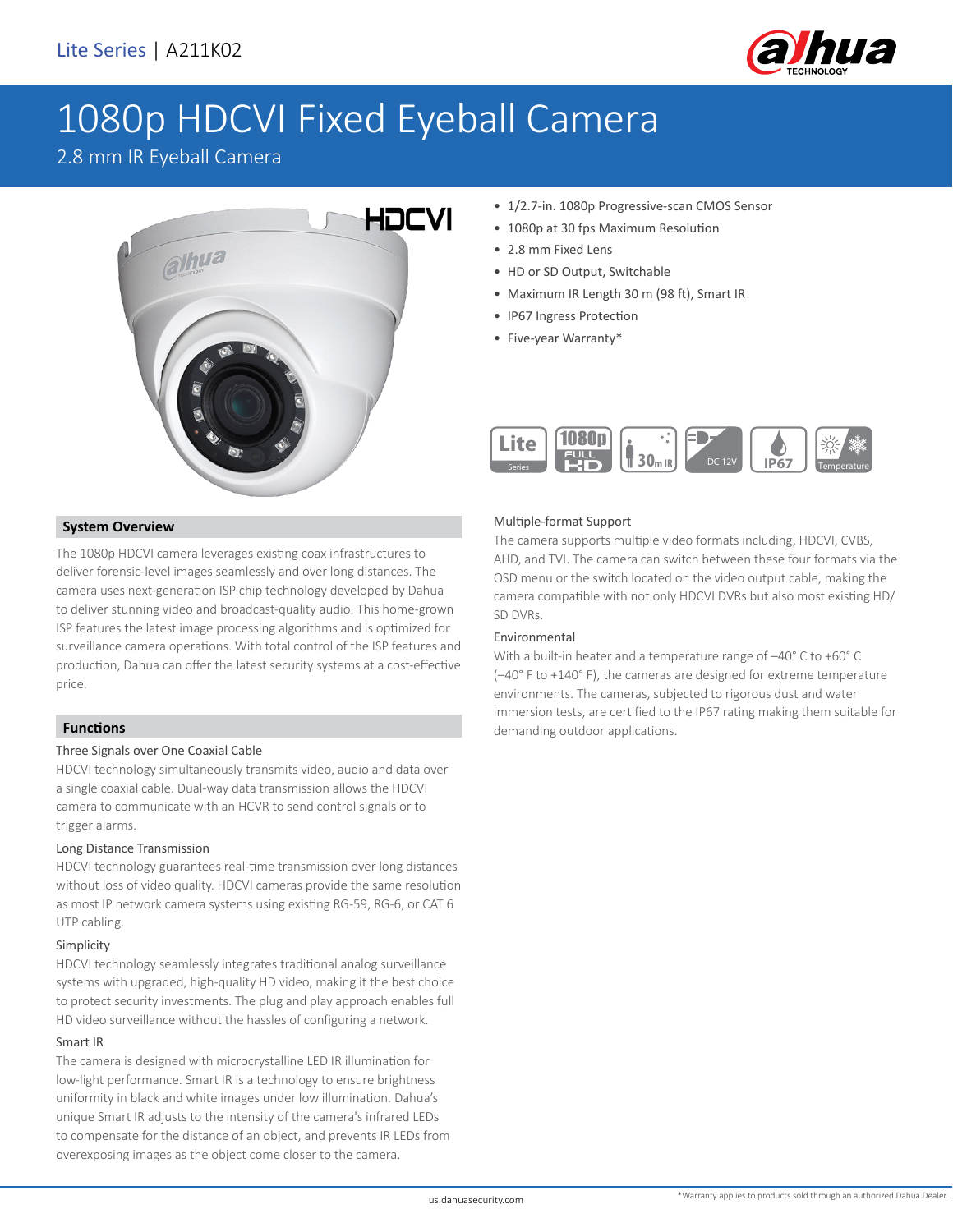

# 1080p HDCVI Fixed Eyeball Camera

### 2.8 mm IR Eyeball Camera



# **System Overview**

The 1080p HDCVI camera leverages existing coax infrastructures to deliver forensic-level images seamlessly and over long distances. The camera uses next-generation ISP chip technology developed by Dahua to deliver stunning video and broadcast-quality audio. This home-grown ISP features the latest image processing algorithms and is optimized for surveillance camera operations. With total control of the ISP features and production, Dahua can offer the latest security systems at a cost-effective price.

### **Functions**

### Three Signals over One Coaxial Cable

HDCVI technology simultaneously transmits video, audio and data over a single coaxial cable. Dual-way data transmission allows the HDCVI camera to communicate with an HCVR to send control signals or to trigger alarms.

### Long Distance Transmission

HDCVI technology guarantees real-time transmission over long distances without loss of video quality. HDCVI cameras provide the same resolution as most IP network camera systems using existing RG-59, RG-6, or CAT 6 UTP cabling.

#### Simplicity

HDCVI technology seamlessly integrates traditional analog surveillance systems with upgraded, high-quality HD video, making it the best choice to protect security investments. The plug and play approach enables full HD video surveillance without the hassles of configuring a network.

### Smart IR

The camera is designed with microcrystalline LED IR illumination for low-light performance. Smart IR is a technology to ensure brightness uniformity in black and white images under low illumination. Dahua's unique Smart IR adjusts to the intensity of the camera's infrared LEDs to compensate for the distance of an object, and prevents IR LEDs from overexposing images as the object come closer to the camera.

- 1/2.7-in. 1080p Progressive-scan CMOS Sensor
- 1080p at 30 fps Maximum Resolution
- 2.8 mm Fixed Lens
- HD or SD Output, Switchable
- Maximum IR Length 30 m (98 ft), Smart IR
- IP67 Ingress Protection
- Five-year Warranty\*



### Multiple-format Support

The camera supports multiple video formats including, HDCVI, CVBS, AHD, and TVI. The camera can switch between these four formats via the OSD menu or the switch located on the video output cable, making the camera compatible with not only HDCVI DVRs but also most existing HD/ SD DVRs.

### Environmental

With a built-in heater and a temperature range of –40° C to +60° C (–40° F to +140° F), the cameras are designed for extreme temperature environments. The cameras, subjected to rigorous dust and water immersion tests, are certified to the IP67 rating making them suitable for demanding outdoor applications.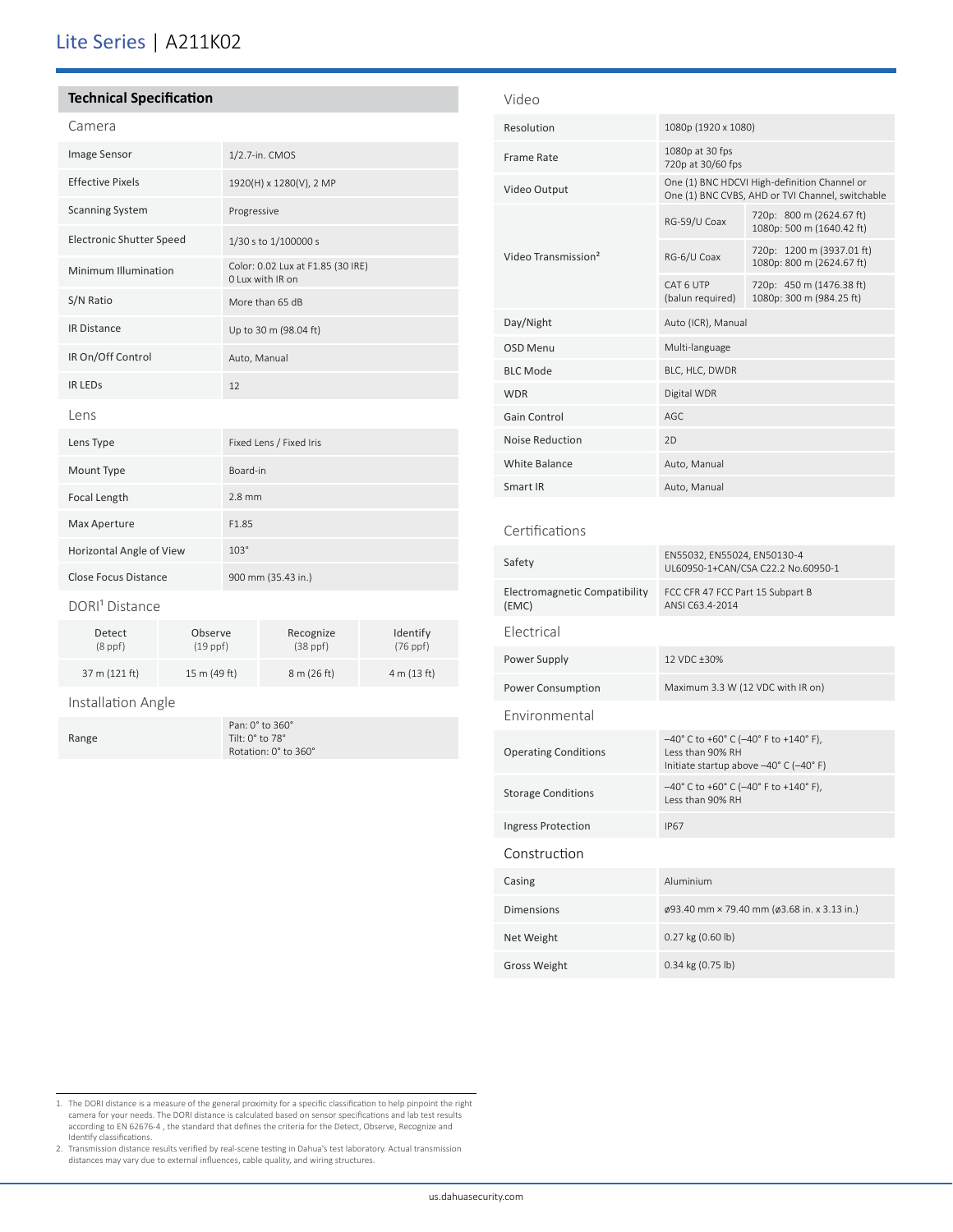## Lite Series | A211K02

### **Technical Specification**

### Camera

| Image Sensor                    | 1/2.7-in. CMOS                                        |  |
|---------------------------------|-------------------------------------------------------|--|
| <b>Effective Pixels</b>         | 1920(H) x 1280(V), 2 MP                               |  |
| <b>Scanning System</b>          | Progressive                                           |  |
| <b>Electronic Shutter Speed</b> | 1/30 s to 1/100000 s                                  |  |
| Minimum Illumination            | Color: 0.02 Lux at F1.85 (30 IRE)<br>0 Lux with IR on |  |
| S/N Ratio                       | More than 65 dB                                       |  |
| <b>IR Distance</b>              | Up to 30 m (98.04 ft)                                 |  |
| IR On/Off Control               | Auto, Manual                                          |  |
| <b>IR LEDS</b>                  | 12                                                    |  |
| Lens                            |                                                       |  |
| Lens Type                       | Fixed Lens / Fixed Iris                               |  |
| Mount Type                      | Board-in                                              |  |
| Focal Length                    | $2.8$ mm                                              |  |
| Max Aperture                    | F1.85                                                 |  |
| Horizontal Angle of View        | $103^\circ$                                           |  |
| <b>Close Focus Distance</b>     | 900 mm (35.43 in.)                                    |  |
| $- -1$                          |                                                       |  |

#### DORI<sup>1</sup> Distance

| Detect        | Observe       | Recognize     | Identify    |
|---------------|---------------|---------------|-------------|
| $(8$ ppf $)$  | $(19$ ppf $)$ | $(38$ ppf $)$ | $(76$ ppf)  |
| 37 m (121 ft) | 15 m (49 ft)  | 8 m (26 ft)   | 4 m (13 ft) |

### Installation Angle

Range

Pan: 0° to 360° Tilt: 0° to 78° Rotation: 0° to 360°

| Video                                  |                                                                                                              |                                                        |  |  |
|----------------------------------------|--------------------------------------------------------------------------------------------------------------|--------------------------------------------------------|--|--|
| Resolution                             | 1080p (1920 x 1080)                                                                                          |                                                        |  |  |
| <b>Frame Rate</b>                      | 1080p at 30 fps<br>720p at 30/60 fps                                                                         |                                                        |  |  |
| Video Output                           | One (1) BNC HDCVI High-definition Channel or<br>One (1) BNC CVBS, AHD or TVI Channel, switchable             |                                                        |  |  |
|                                        | RG-59/U Coax                                                                                                 | 720p: 800 m (2624.67 ft)<br>1080p: 500 m (1640.42 ft)  |  |  |
| Video Transmission <sup>2</sup>        | RG-6/U Coax                                                                                                  | 720p: 1200 m (3937.01 ft)<br>1080p: 800 m (2624.67 ft) |  |  |
|                                        | CAT 6 UTP<br>(balun required)                                                                                | 720p: 450 m (1476.38 ft)<br>1080p: 300 m (984.25 ft)   |  |  |
| Day/Night                              | Auto (ICR), Manual                                                                                           |                                                        |  |  |
| <b>OSD Menu</b>                        | Multi-language                                                                                               |                                                        |  |  |
| <b>BLC Mode</b>                        | BLC, HLC, DWDR                                                                                               |                                                        |  |  |
| <b>WDR</b>                             | Digital WDR                                                                                                  |                                                        |  |  |
| Gain Control                           | AGC                                                                                                          |                                                        |  |  |
| Noise Reduction                        | 2D                                                                                                           |                                                        |  |  |
| <b>White Balance</b>                   | Auto, Manual                                                                                                 |                                                        |  |  |
| Smart IR                               | Auto, Manual                                                                                                 |                                                        |  |  |
| Certifications                         |                                                                                                              |                                                        |  |  |
| Safety                                 | EN55032, EN55024, EN50130-4<br>UL60950-1+CAN/CSA C22.2 No.60950-1                                            |                                                        |  |  |
| Electromagnetic Compatibility<br>(EMC) | FCC CFR 47 FCC Part 15 Subpart B<br>ANSI C63.4-2014                                                          |                                                        |  |  |
| Electrical                             |                                                                                                              |                                                        |  |  |
| Power Supply                           | 12 VDC ±30%                                                                                                  |                                                        |  |  |
| Power Consumption                      | Maximum 3.3 W (12 VDC with IR on)                                                                            |                                                        |  |  |
| Environmental                          |                                                                                                              |                                                        |  |  |
| <b>Operating Conditions</b>            | $-40^{\circ}$ C to +60° C (-40° F to +140° F),<br>Less than 90% RH<br>Initiate startup above -40° C (-40° F) |                                                        |  |  |
| <b>Storage Conditions</b>              | 40° C to +60° C (-40° F to +140° F),<br>Less than 90% RH                                                     |                                                        |  |  |
| Ingress Protection                     | <b>IP67</b>                                                                                                  |                                                        |  |  |
| Construction                           |                                                                                                              |                                                        |  |  |
| Casing                                 | Aluminium                                                                                                    |                                                        |  |  |
| <b>Dimensions</b>                      | ø93.40 mm × 79.40 mm (ø3.68 in. x 3.13 in.)                                                                  |                                                        |  |  |
| Net Weight                             | 0.27 kg (0.60 lb)                                                                                            |                                                        |  |  |
| <b>Gross Weight</b>                    | 0.34 kg (0.75 lb)                                                                                            |                                                        |  |  |

- 1. The DORI distance is a measure of the general proximity for a specific classification to help pinpoint the right camera for your needs. The DORI distance is calculated based on sensor specifications and lab test results according to EN 62676-4 , the standard that defines the criteria for the Detect, Observe, Recognize and Identify classifications.
- 2. Transmission distance results verified by real-scene testing in Dahua's test laboratory. Actual transmission distances may vary due to external influences, cable quality, and wiring structures.